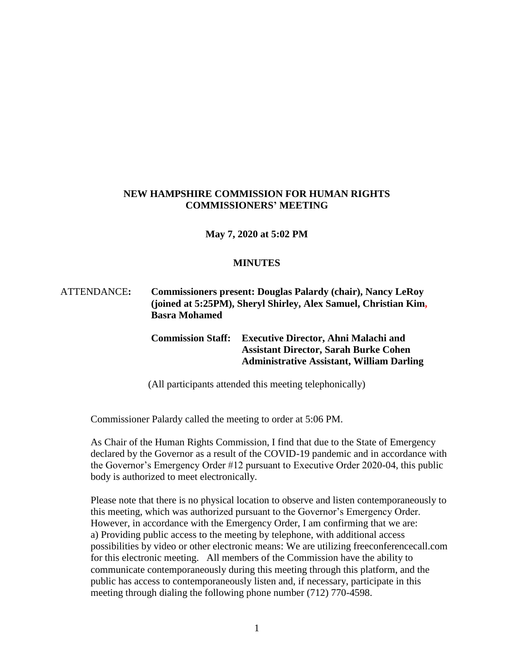### **NEW HAMPSHIRE COMMISSION FOR HUMAN RIGHTS COMMISSIONERS' MEETING**

#### **May 7, 2020 at 5:02 PM**

#### **MINUTES**

# ATTENDANCE**: Commissioners present: Douglas Palardy (chair), Nancy LeRoy (joined at 5:25PM), Sheryl Shirley, Alex Samuel, Christian Kim, Basra Mohamed**

### **Commission Staff: Executive Director, Ahni Malachi and Assistant Director, Sarah Burke Cohen Administrative Assistant, William Darling**

(All participants attended this meeting telephonically)

Commissioner Palardy called the meeting to order at 5:06 PM.

As Chair of the Human Rights Commission, I find that due to the State of Emergency declared by the Governor as a result of the COVID-19 pandemic and in accordance with the Governor's Emergency Order #12 pursuant to Executive Order 2020-04, this public body is authorized to meet electronically.

Please note that there is no physical location to observe and listen contemporaneously to this meeting, which was authorized pursuant to the Governor's Emergency Order. However, in accordance with the Emergency Order, I am confirming that we are: a) Providing public access to the meeting by telephone, with additional access possibilities by video or other electronic means: We are utilizing freeconferencecall.com for this electronic meeting. All members of the Commission have the ability to communicate contemporaneously during this meeting through this platform, and the public has access to contemporaneously listen and, if necessary, participate in this meeting through dialing the following phone number (712) 770-4598.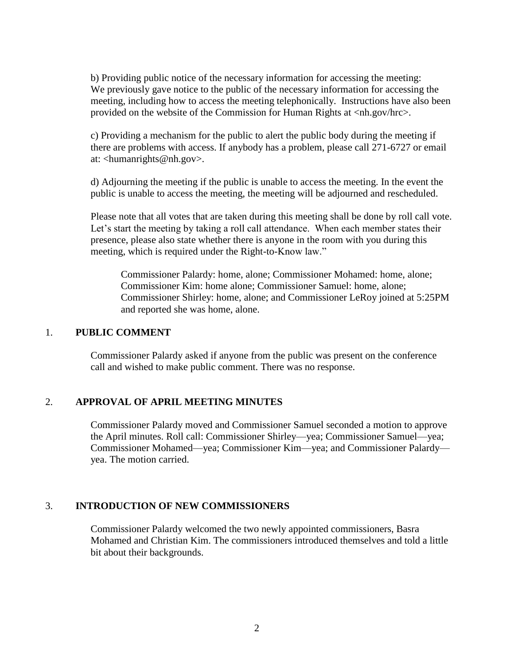b) Providing public notice of the necessary information for accessing the meeting: We previously gave notice to the public of the necessary information for accessing the meeting, including how to access the meeting telephonically. Instructions have also been provided on the website of the Commission for Human Rights at <nh.gov/hrc>.

c) Providing a mechanism for the public to alert the public body during the meeting if there are problems with access. If anybody has a problem, please call 271-6727 or email at: <humanrights@nh.gov>.

d) Adjourning the meeting if the public is unable to access the meeting. In the event the public is unable to access the meeting, the meeting will be adjourned and rescheduled.

Please note that all votes that are taken during this meeting shall be done by roll call vote. Let's start the meeting by taking a roll call attendance. When each member states their presence, please also state whether there is anyone in the room with you during this meeting, which is required under the Right-to-Know law."

Commissioner Palardy: home, alone; Commissioner Mohamed: home, alone; Commissioner Kim: home alone; Commissioner Samuel: home, alone; Commissioner Shirley: home, alone; and Commissioner LeRoy joined at 5:25PM and reported she was home, alone.

### 1. **PUBLIC COMMENT**

Commissioner Palardy asked if anyone from the public was present on the conference call and wished to make public comment. There was no response.

#### 2. **APPROVAL OF APRIL MEETING MINUTES**

Commissioner Palardy moved and Commissioner Samuel seconded a motion to approve the April minutes. Roll call: Commissioner Shirley—yea; Commissioner Samuel—yea; Commissioner Mohamed—yea; Commissioner Kim—yea; and Commissioner Palardy yea. The motion carried.

#### 3. **INTRODUCTION OF NEW COMMISSIONERS**

Commissioner Palardy welcomed the two newly appointed commissioners, Basra Mohamed and Christian Kim. The commissioners introduced themselves and told a little bit about their backgrounds.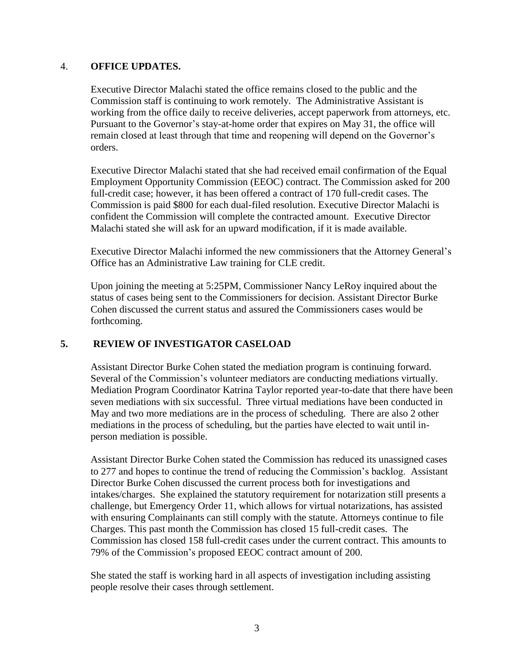### 4. **OFFICE UPDATES.**

Executive Director Malachi stated the office remains closed to the public and the Commission staff is continuing to work remotely. The Administrative Assistant is working from the office daily to receive deliveries, accept paperwork from attorneys, etc. Pursuant to the Governor's stay-at-home order that expires on May 31, the office will remain closed at least through that time and reopening will depend on the Governor's orders.

Executive Director Malachi stated that she had received email confirmation of the Equal Employment Opportunity Commission (EEOC) contract. The Commission asked for 200 full-credit case; however, it has been offered a contract of 170 full-credit cases. The Commission is paid \$800 for each dual-filed resolution. Executive Director Malachi is confident the Commission will complete the contracted amount. Executive Director Malachi stated she will ask for an upward modification, if it is made available.

Executive Director Malachi informed the new commissioners that the Attorney General's Office has an Administrative Law training for CLE credit.

Upon joining the meeting at 5:25PM, Commissioner Nancy LeRoy inquired about the status of cases being sent to the Commissioners for decision. Assistant Director Burke Cohen discussed the current status and assured the Commissioners cases would be forthcoming.

# **5. REVIEW OF INVESTIGATOR CASELOAD**

Assistant Director Burke Cohen stated the mediation program is continuing forward. Several of the Commission's volunteer mediators are conducting mediations virtually. Mediation Program Coordinator Katrina Taylor reported year-to-date that there have been seven mediations with six successful. Three virtual mediations have been conducted in May and two more mediations are in the process of scheduling. There are also 2 other mediations in the process of scheduling, but the parties have elected to wait until inperson mediation is possible.

Assistant Director Burke Cohen stated the Commission has reduced its unassigned cases to 277 and hopes to continue the trend of reducing the Commission's backlog. Assistant Director Burke Cohen discussed the current process both for investigations and intakes/charges. She explained the statutory requirement for notarization still presents a challenge, but Emergency Order 11, which allows for virtual notarizations, has assisted with ensuring Complainants can still comply with the statute. Attorneys continue to file Charges. This past month the Commission has closed 15 full-credit cases. The Commission has closed 158 full-credit cases under the current contract. This amounts to 79% of the Commission's proposed EEOC contract amount of 200.

She stated the staff is working hard in all aspects of investigation including assisting people resolve their cases through settlement.